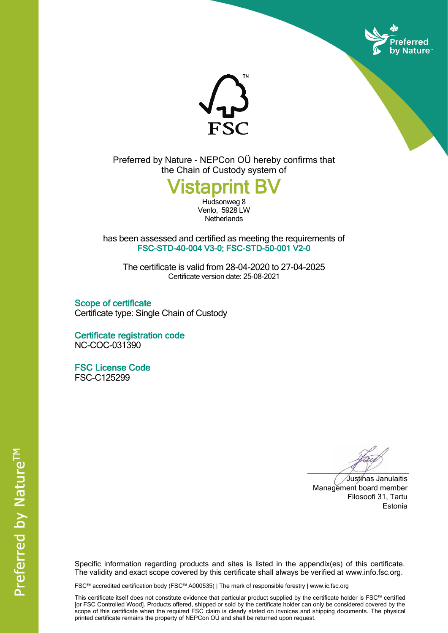



Preferred by Nature - NEPCon OÜ hereby confirms that the Chain of Custody system of

## Vistaprint BV

Hudsonweg 8 Venlo, 5928 LW **Netherlands** 

has been assessed and certified as meeting the requirements of FSC-STD-40-004 V3-0; FSC-STD-50-001 V2-0

The certificate is valid from 28-04-2020 to 27-04-2025 Certificate version date: 25-08-2021

Scope of certificate Certificate type: Single Chain of Custody

Certificate registration code NC-COC-031390

FSC License Code FSC-C125299

Justinas Janulaitis Management board member Filosoofi 31, Tartu Estonia

Specific information regarding products and sites is listed in the appendix(es) of this certificate. The validity and exact scope covered by this certificate shall always be verified at www.info.fsc.org.

FSC™ accredited certification body (FSC™ A000535) | The mark of responsible forestry | www.ic.fsc.org

This certificate itself does not constitute evidence that particular product supplied by the certificate holder is FSC™ certified [or FSC Controlled Wood]. Products offered, shipped or sold by the certificate holder can only be considered covered by the scope of this certificate when the required FSC claim is clearly stated on invoices and shipping documents. The physical printed certificate remains the property of NEPCon OÜ and shall be returned upon request.